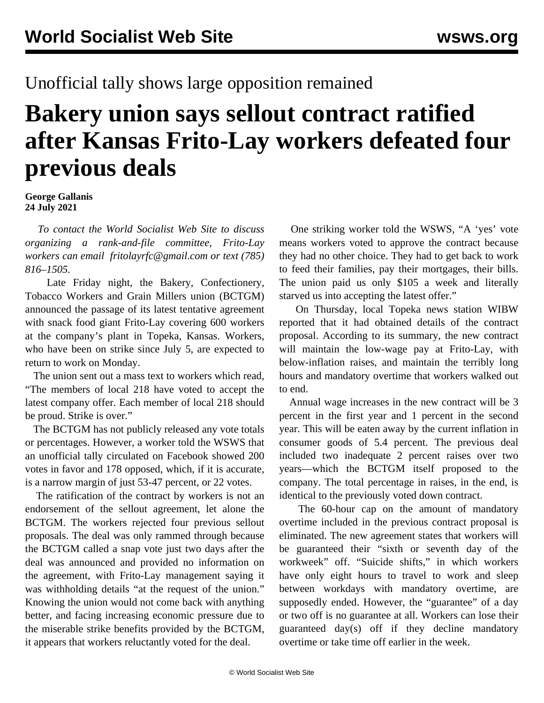## Unofficial tally shows large opposition remained

## **Bakery union says sellout contract ratified after Kansas Frito-Lay workers defeated four previous deals**

**George Gallanis 24 July 2021**

 *To contact the World Socialist Web Site to discuss organizing a rank-and-file committee, Frito-Lay workers can email [fritolayrfc@gmail.com](mailto:fritolayrfc@gmail.com) or text (785) 816–1505.*

 Late Friday night, the Bakery, Confectionery, Tobacco Workers and Grain Millers union (BCTGM) announced the passage of its latest tentative agreement with snack food giant Frito-Lay covering 600 workers at the company's plant in Topeka, Kansas. Workers, who have been on strike since July 5, are expected to return to work on Monday.

 The union sent out a mass text to workers which read, "The members of local 218 have voted to accept the latest company offer. Each member of local 218 should be proud. Strike is over."

 The BCTGM has not publicly released any vote totals or percentages. However, a worker told the WSWS that an unofficial tally circulated on Facebook showed 200 votes in favor and 178 opposed, which, if it is accurate, is a narrow margin of just 53-47 percent, or 22 votes.

 The ratification of the contract by workers is not an endorsement of the sellout agreement, let alone the BCTGM. The workers rejected four previous sellout proposals. The deal was only rammed through because the BCTGM called a snap vote just two days after the deal was announced and provided no information on the agreement, with Frito-Lay management saying it was withholding details "at the request of the union." Knowing the union would not come back with anything better, and facing increasing economic pressure due to the miserable strike benefits provided by the BCTGM, it appears that workers reluctantly voted for the deal.

 One striking worker told the WSWS, "A 'yes' vote means workers voted to approve the contract because they had no other choice. They had to get back to work to feed their families, pay their mortgages, their bills. The union paid us only \$105 a week and literally starved us into accepting the latest offer."

 On Thursday, local Topeka news station WIBW reported that it had obtained details of the contract proposal. According to its summary, the new contract will maintain the low-wage pay at Frito-Lay, with below-inflation raises, and maintain the terribly long hours and mandatory overtime that workers walked out to end.

 Annual wage increases in the new contract will be 3 percent in the first year and 1 percent in the second year. This will be eaten away by the current inflation in consumer goods of 5.4 percent. The previous deal included two inadequate 2 percent raises over two years—which the BCTGM itself proposed to the company. The total percentage in raises, in the end, is identical to the previously voted down contract.

 The 60-hour cap on the amount of mandatory overtime included in the previous contract proposal is eliminated. The new agreement states that workers will be guaranteed their "sixth or seventh day of the workweek" off. "Suicide shifts," in which workers have only eight hours to travel to work and sleep between workdays with mandatory overtime, are supposedly ended. However, the "guarantee" of a day or two off is no guarantee at all. Workers can lose their guaranteed day(s) off if they decline mandatory overtime or take time off earlier in the week.